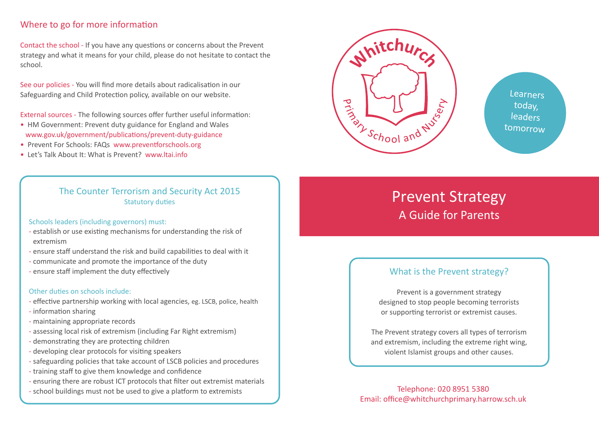# Where to go for more information

Contact the school - If you have any questions or concerns about the Prevent strategy and what it means for your child, please do not hesitate to contact the school.

See our policies - You will find more details about radicalisation in our Safeguarding and Child Protection policy, available on our website.

External sources - The following sources offer further useful information:

- HM Government: Prevent duty guidance for England and Wales www.gov.uk/government/publications/prevent-duty-guidance
- Prevent For Schools: FAQs www.preventforschools.org
- Let's Talk About It: What is Prevent? www.ltai.info

## The Counter Terrorism and Security Act 2015 Statutory duties

#### Schools leaders (including governors) must:

- establish or use existing mechanisms for understanding the risk of extremism
- ensure staff understand the risk and build capabilities to deal with it
- communicate and promote the importance of the duty
- ensure staff implement the duty effectively

#### Other duties on schools include:

- effective partnership working with local agencies, eg. LSCB, police, health
- information sharing
- maintaining appropriate records
- assessing local risk of extremism (including Far Right extremism)
- demonstrating they are protecting children
- developing clear protocols for visiting speakers
- safeguarding policies that take account of LSCB policies and procedures
- training staff to give them knowledge and confidence
- ensuring there are robust ICT protocols that filter out extremist materials
- school buildings must not be used to give a platform to extremists Telephone: 020 8951 5380



**Learners** today, leaders tomorrow

# Prevent Strategy A Guide for Parents

# What is the Prevent strategy?

Prevent is a government strategy designed to stop people becoming terrorists or supporting terrorist or extremist causes.

The Prevent strategy covers all types of terrorism and extremism, including the extreme right wing, violent Islamist groups and other causes.

Email: office@whitchurchprimary.harrow.sch.uk